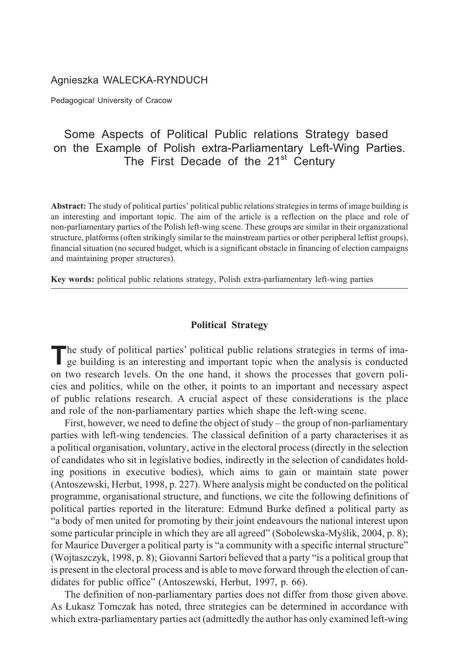## Agnieszka WALECKA-RYNDUCH

Pedagogical University of Cracow

# Some Aspects of Political Public relations Strategy based on the Example of Polish extra-Parliamentary Left-Wing Parties. The First Decade of the 21<sup>st</sup> Century

**Abstract:** The study of political parties' political public relations strategies in terms of image building is an interesting and important topic. The aim of the article is a reflection on the place and role of non-parliamentary parties of the Polish left-wing scene. These groups are similar in their organizational structure, platforms (often strikingly similar to the mainstream parties or other peripheral leftist groups), financial situation (no secured budget, which is a significant obstacle in financing of election campaigns and maintaining proper structures).

**Key words:** political public relations strategy, Polish extra-parliamentary left-wing parties

## **Political Strategy**

The study of political parties' political public relations strategies in terms of image building is an interesting and important topic when the analysis is conducted on two research levels. On the one hand, it shows the processes that govern policies and politics, while on the other, it points to an important and necessary aspect of public relations research. A crucial aspect of these considerations is the place and role of the non-parliamentary parties which shape the left-wing scene.

First, however, we need to define the object of study – the group of non-parliamentary parties with left-wing tendencies. The classical definition of a party characterises it as a political organisation, voluntary, active in the electoral process (directly in the selection of candidates who sit in legislative bodies, indirectly in the selection of candidates holding positions in executive bodies), which aims to gain or maintain state power (Antoszewski, Herbut, 1998, p. 227). Where analysis might be conducted on the political programme, organisational structure, and functions, we cite the following definitions of political parties reported in the literature: Edmund Burke defined a political party as "a body of men united for promoting by their joint endeavours the national interest upon some particular principle in which they are all agreed" (Sobolewska-Myślik, 2004, p. 8); for Maurice Duverger a political party is "a community with a specific internal structure" (Wojtaszczyk, 1998, p. 8); Giovanni Sartori believed that a party "is a political group that is present in the electoral process and is able to move forward through the election of candidates for public office" (Antoszewski, Herbut, 1997, p. 66).

The definition of non-parliamentary parties does not differ from those given above. As £ukasz Tomczak has noted, three strategies can be determined in accordance with which extra-parliamentary parties act (admittedly the author has only examined left-wing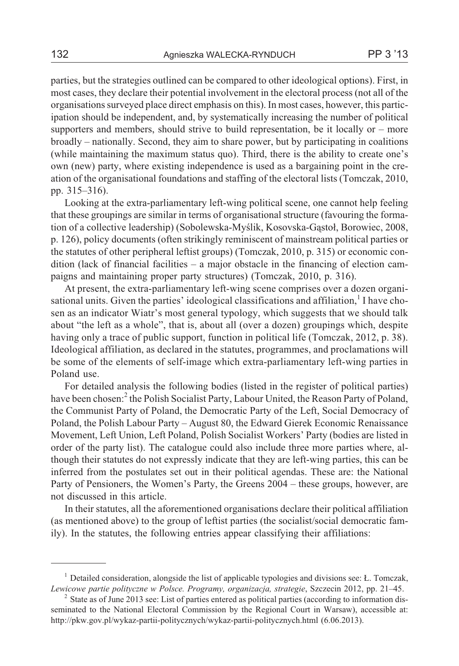parties, but the strategies outlined can be compared to other ideological options). First, in most cases, they declare their potential involvement in the electoral process (not all of the organisations surveyed place direct emphasis on this). In most cases, however, this participation should be independent, and, by systematically increasing the number of political supporters and members, should strive to build representation, be it locally or – more broadly – nationally. Second, they aim to share power, but by participating in coalitions (while maintaining the maximum status quo). Third, there is the ability to create one's own (new) party, where existing independence is used as a bargaining point in the creation of the organisational foundations and staffing of the electoral lists (Tomczak, 2010, pp. 315–316).

Looking at the extra-parliamentary left-wing political scene, one cannot help feeling that these groupings are similar in terms of organisational structure (favouring the formation of a collective leadership) (Sobolewska-Myślik, Kosovska-Gastoł, Borowiec, 2008, p. 126), policy documents (often strikingly reminiscent of mainstream political parties or the statutes of other peripheral leftist groups) (Tomczak, 2010, p. 315) or economic condition (lack of financial facilities – a major obstacle in the financing of election campaigns and maintaining proper party structures) (Tomczak, 2010, p. 316).

At present, the extra-parliamentary left-wing scene comprises over a dozen organisational units. Given the parties' ideological classifications and affiliation, $<sup>1</sup>$  I have cho-</sup> sen as an indicator Wiatr's most general typology, which suggests that we should talk about "the left as a whole", that is, about all (over a dozen) groupings which, despite having only a trace of public support, function in political life (Tomczak, 2012, p. 38). Ideological affiliation, as declared in the statutes, programmes, and proclamations will be some of the elements of self-image which extra-parliamentary left-wing parties in Poland use.

For detailed analysis the following bodies (listed in the register of political parties) have been chosen:<sup>2</sup> the Polish Socialist Party, Labour United, the Reason Party of Poland, the Communist Party of Poland, the Democratic Party of the Left, Social Democracy of Poland, the Polish Labour Party – August 80, the Edward Gierek Economic Renaissance Movement, Left Union, Left Poland, Polish Socialist Workers' Party (bodies are listed in order of the party list). The catalogue could also include three more parties where, although their statutes do not expressly indicate that they are left-wing parties, this can be inferred from the postulates set out in their political agendas. These are: the National Party of Pensioners, the Women's Party, the Greens 2004 – these groups, however, are not discussed in this article.

In their statutes, all the aforementioned organisations declare their political affiliation (as mentioned above) to the group of leftist parties (the socialist/social democratic family). In the statutes, the following entries appear classifying their affiliations:

<sup>&</sup>lt;sup>1</sup> Detailed consideration, alongside the list of applicable typologies and divisions see: *L*. Tomczak, *Lewicowe partie polityczne w Polsce. Programy, organizacja, strategie*, Szczecin 2012, pp. 21–45.

<sup>&</sup>lt;sup>2</sup> State as of June 2013 see: List of parties entered as political parties (according to information disseminated to the National Electoral Commission by the Regional Court in Warsaw), accessible at: http://pkw.gov.pl/wykaz-partii-politycznych/wykaz-partii-politycznych.html (6.06.2013).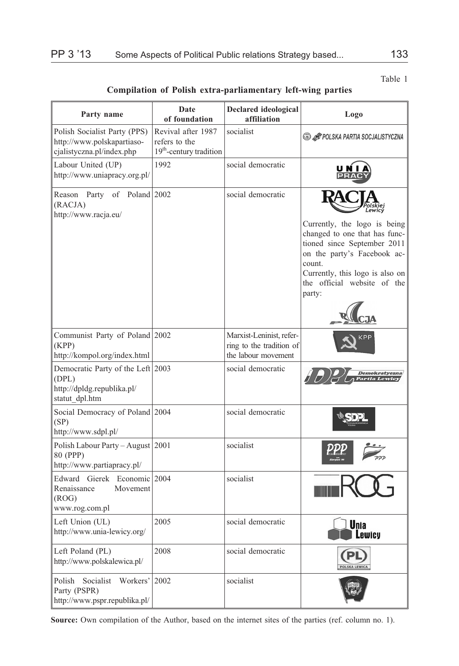### Table 1

**Compilation of Polish extra-parliamentary left-wing parties**

| Party name                                                                                 | Date<br>of foundation                                                      | <b>Declared ideological</b><br>affiliation                                  | Logo                                                                                                                                                                                                              |
|--------------------------------------------------------------------------------------------|----------------------------------------------------------------------------|-----------------------------------------------------------------------------|-------------------------------------------------------------------------------------------------------------------------------------------------------------------------------------------------------------------|
| Polish Socialist Party (PPS)<br>http://www.polskapartiaso-<br>cjalistyczna.pl/index.php    | Revival after 1987<br>refers to the<br>19 <sup>th</sup> -century tradition | socialist                                                                   | <b>SO LATE POLSKA PARTIA SOCJALISTYCZNA</b>                                                                                                                                                                       |
| Labour United (UP)<br>http://www.uniapracy.org.pl/                                         | 1992                                                                       | social democratic                                                           |                                                                                                                                                                                                                   |
| Party<br>of<br>Poland 2002<br>Reason<br>(RACJA)<br>http://www.racja.eu/                    |                                                                            | social democratic                                                           | Currently, the logo is being<br>changed to one that has func-<br>tioned since September 2011<br>on the party's Facebook ac-<br>count.<br>Currently, this logo is also on<br>the official website of the<br>party: |
| Communist Party of Poland 2002<br>(KPP)<br>http://kompol.org/index.html                    |                                                                            | Marxist-Leninist, refer-<br>ring to the tradition of<br>the labour movement |                                                                                                                                                                                                                   |
| Democratic Party of the Left 2003<br>(DPL)<br>http://dpldg.republika.pl/<br>statut dpl.htm |                                                                            | social democratic                                                           | Demokratyczna                                                                                                                                                                                                     |
| Social Democracy of Poland 2004<br>(SP)<br>http://www.sdpl.pl/                             |                                                                            | social democratic                                                           |                                                                                                                                                                                                                   |
| Polish Labour Party – August 2001<br>80 (PPP)<br>http://www.partiapracy.pl/                |                                                                            | socialist                                                                   |                                                                                                                                                                                                                   |
| Edward Gierek Economic 2004<br>Renaissance<br>Movement<br>(ROG)<br>www.rog.com.pl          |                                                                            | socialist                                                                   |                                                                                                                                                                                                                   |
| Left Union (UL)<br>http://www.unia-lewicy.org/                                             | 2005                                                                       | social democratic                                                           | <b>Unia</b><br>ewicu                                                                                                                                                                                              |
| Left Poland (PL)<br>http://www.polskalewica.pl/                                            | 2008                                                                       | social democratic                                                           |                                                                                                                                                                                                                   |
| Polish<br>Socialist<br>Workers'<br>Party (PSPR)<br>http://www.pspr.republika.pl/           | 2002                                                                       | socialist                                                                   |                                                                                                                                                                                                                   |

**Source:** Own compilation of the Author, based on the internet sites of the parties (ref. column no. 1).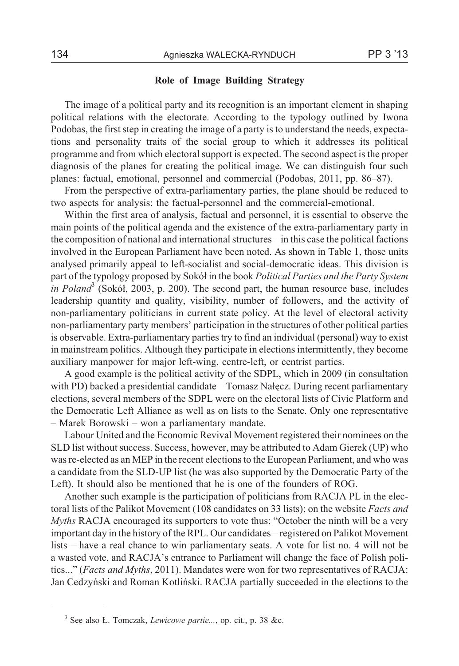## **Role of Image Building Strategy**

The image of a political party and its recognition is an important element in shaping political relations with the electorate. According to the typology outlined by Iwona Podobas, the first step in creating the image of a party is to understand the needs, expectations and personality traits of the social group to which it addresses its political programme and from which electoral support is expected. The second aspect is the proper diagnosis of the planes for creating the political image. We can distinguish four such planes: factual, emotional, personnel and commercial (Podobas, 2011, pp. 86–87).

From the perspective of extra-parliamentary parties, the plane should be reduced to two aspects for analysis: the factual-personnel and the commercial-emotional.

Within the first area of analysis, factual and personnel, it is essential to observe the main points of the political agenda and the existence of the extra-parliamentary party in the composition of national and international structures – in this case the political factions involved in the European Parliament have been noted. As shown in Table 1, those units analysed primarily appeal to left-socialist and social-democratic ideas. This division is part of the typology proposed by Sokó³ in the book *Political Parties and the Party System in Poland*<sup>3</sup> (Sokół, 2003, p. 200). The second part, the human resource base, includes leadership quantity and quality, visibility, number of followers, and the activity of non-parliamentary politicians in current state policy. At the level of electoral activity non-parliamentary party members' participation in the structures of other political parties is observable. Extra-parliamentary parties try to find an individual (personal) way to exist in mainstream politics. Although they participate in elections intermittently, they become auxiliary manpower for major left-wing, centre-left, or centrist parties.

A good example is the political activity of the SDPL, which in 2009 (in consultation with PD) backed a presidential candidate  $-$  Tomasz Nałęcz. During recent parliamentary elections, several members of the SDPL were on the electoral lists of Civic Platform and the Democratic Left Alliance as well as on lists to the Senate. Only one representative – Marek Borowski – won a parliamentary mandate.

Labour United and the Economic Revival Movement registered their nominees on the SLD list without success. Success, however, may be attributed to Adam Gierek (UP) who was re-elected as an MEP in the recent elections to the European Parliament, and who was a candidate from the SLD-UP list (he was also supported by the Democratic Party of the Left). It should also be mentioned that he is one of the founders of ROG.

Another such example is the participation of politicians from RACJA PL in the electoral lists of the Palikot Movement (108 candidates on 33 lists); on the website *Facts and Myths* RACJA encouraged its supporters to vote thus: "October the ninth will be a very important day in the history of the RPL. Our candidates – registered on Palikot Movement lists – have a real chance to win parliamentary seats. A vote for list no. 4 will not be a wasted vote, and RACJA's entrance to Parliament will change the face of Polish politics..." (*Facts and Myths*, 2011). Mandates were won for two representatives of RACJA: Jan Cedzyñski and Roman Kotliñski. RACJA partially succeeded in the elections to the

<sup>3</sup> See also £. Tomczak, *Lewicowe partie...*, op. cit., p. 38 &c.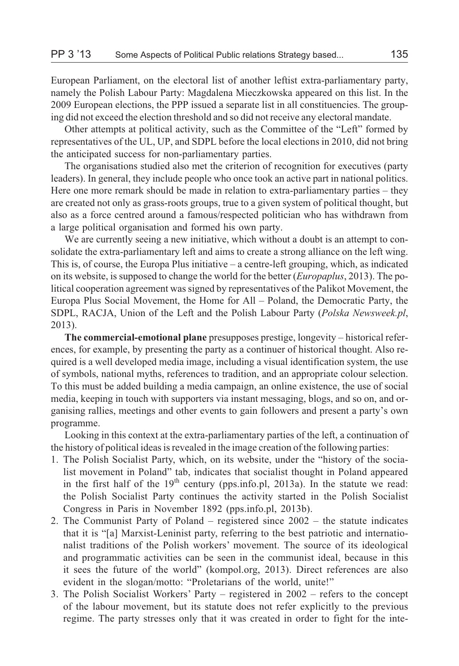European Parliament, on the electoral list of another leftist extra-parliamentary party, namely the Polish Labour Party: Magdalena Mieczkowska appeared on this list. In the 2009 European elections, the PPP issued a separate list in all constituencies. The grouping did not exceed the election threshold and so did not receive any electoral mandate.

Other attempts at political activity, such as the Committee of the "Left" formed by representatives of the UL, UP, and SDPL before the local elections in 2010, did not bring the anticipated success for non-parliamentary parties.

The organisations studied also met the criterion of recognition for executives (party leaders). In general, they include people who once took an active part in national politics. Here one more remark should be made in relation to extra-parliamentary parties – they are created not only as grass-roots groups, true to a given system of political thought, but also as a force centred around a famous/respected politician who has withdrawn from a large political organisation and formed his own party.

We are currently seeing a new initiative, which without a doubt is an attempt to consolidate the extra-parliamentary left and aims to create a strong alliance on the left wing. This is, of course, the Europa Plus initiative – a centre-left grouping, which, as indicated on its website, is supposed to change the world for the better (*Europaplus*, 2013). The political cooperation agreement was signed by representatives of the Palikot Movement, the Europa Plus Social Movement, the Home for All – Poland, the Democratic Party, the SDPL, RACJA, Union of the Left and the Polish Labour Party (*Polska Newsweek.pl*, 2013).

**The commercial-emotional plane** presupposes prestige, longevity – historical references, for example, by presenting the party as a continuer of historical thought. Also required is a well developed media image, including a visual identification system, the use of symbols, national myths, references to tradition, and an appropriate colour selection. To this must be added building a media campaign, an online existence, the use of social media, keeping in touch with supporters via instant messaging, blogs, and so on, and organising rallies, meetings and other events to gain followers and present a party's own programme.

Looking in this context at the extra-parliamentary parties of the left, a continuation of the history of political ideas is revealed in the image creation of the following parties:

- 1. The Polish Socialist Party, which, on its website, under the "history of the socialist movement in Poland" tab, indicates that socialist thought in Poland appeared in the first half of the  $19<sup>th</sup>$  century (pps.info.pl, 2013a). In the statute we read: the Polish Socialist Party continues the activity started in the Polish Socialist Congress in Paris in November 1892 (pps.info.pl, 2013b).
- 2. The Communist Party of Poland registered since 2002 the statute indicates that it is "[a] Marxist-Leninist party, referring to the best patriotic and internationalist traditions of the Polish workers' movement. The source of its ideological and programmatic activities can be seen in the communist ideal, because in this it sees the future of the world" (kompol.org, 2013). Direct references are also evident in the slogan/motto: "Proletarians of the world, unite!"
- 3. The Polish Socialist Workers' Party registered in 2002 refers to the concept of the labour movement, but its statute does not refer explicitly to the previous regime. The party stresses only that it was created in order to fight for the inte-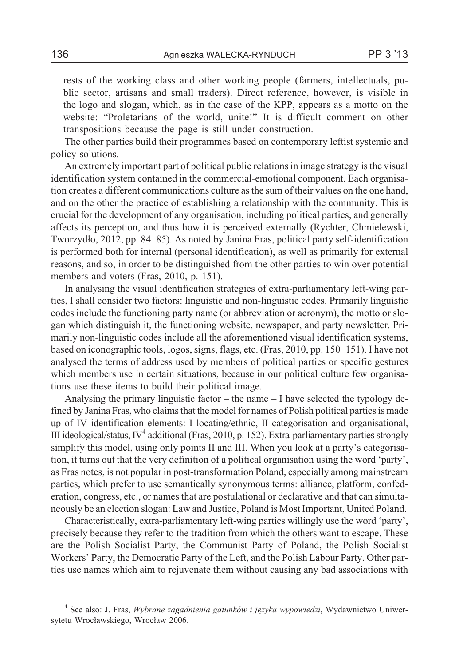rests of the working class and other working people (farmers, intellectuals, public sector, artisans and small traders). Direct reference, however, is visible in the logo and slogan, which, as in the case of the KPP, appears as a motto on the website: "Proletarians of the world, unite!" It is difficult comment on other transpositions because the page is still under construction.

The other parties build their programmes based on contemporary leftist systemic and policy solutions.

An extremely important part of political public relations in image strategy is the visual identification system contained in the commercial-emotional component. Each organisation creates a different communications culture as the sum of their values on the one hand, and on the other the practice of establishing a relationship with the community. This is crucial for the development of any organisation, including political parties, and generally affects its perception, and thus how it is perceived externally (Rychter, Chmielewski, Tworzydło, 2012, pp. 84–85). As noted by Janina Fras, political party self-identification is performed both for internal (personal identification), as well as primarily for external reasons, and so, in order to be distinguished from the other parties to win over potential members and voters (Fras, 2010, p. 151).

In analysing the visual identification strategies of extra-parliamentary left-wing parties, I shall consider two factors: linguistic and non-linguistic codes. Primarily linguistic codes include the functioning party name (or abbreviation or acronym), the motto or slogan which distinguish it, the functioning website, newspaper, and party newsletter. Primarily non-linguistic codes include all the aforementioned visual identification systems, based on iconographic tools, logos, signs, flags, etc. (Fras, 2010, pp. 150–151). I have not analysed the terms of address used by members of political parties or specific gestures which members use in certain situations, because in our political culture few organisations use these items to build their political image.

Analysing the primary linguistic factor – the name – I have selected the typology defined by Janina Fras, who claims that the model for names of Polish political parties is made up of IV identification elements: I locating/ethnic, II categorisation and organisational, III ideological/status,  $IV^4$  additional (Fras, 2010, p. 152). Extra-parliamentary parties strongly simplify this model, using only points II and III. When you look at a party's categorisation, it turns out that the very definition of a political organisation using the word 'party', as Fras notes, is not popular in post-transformation Poland, especially among mainstream parties, which prefer to use semantically synonymous terms: alliance, platform, confederation, congress, etc., or names that are postulational or declarative and that can simultaneously be an election slogan: Law and Justice, Poland is Most Important, United Poland.

Characteristically, extra-parliamentary left-wing parties willingly use the word 'party', precisely because they refer to the tradition from which the others want to escape. These are the Polish Socialist Party, the Communist Party of Poland, the Polish Socialist Workers' Party, the Democratic Party of the Left, and the Polish Labour Party. Other parties use names which aim to rejuvenate them without causing any bad associations with

<sup>4</sup> See also: J. Fras, *Wybrane zagadnienia gatunków i jêzyka wypowiedzi*, Wydawnictwo Uniwersytetu Wrocławskiego, Wrocław 2006.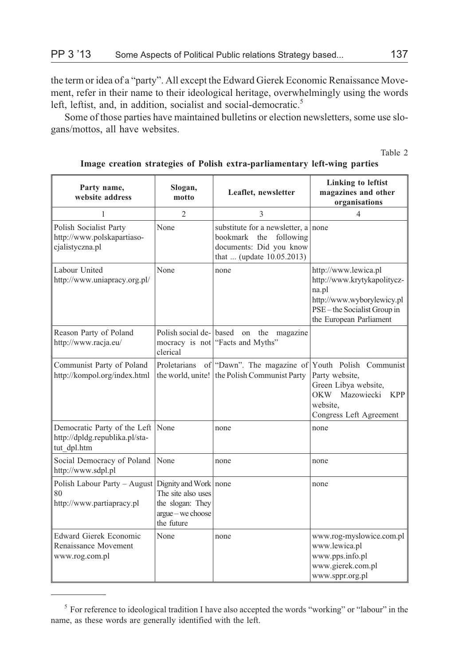the term or idea of a "party". All except the Edward Gierek Economic Renaissance Movement, refer in their name to their ideological heritage, overwhelmingly using the words left, leftist, and, in addition, socialist and social-democratic.<sup>5</sup>

Some of those parties have maintained bulletins or election newsletters, some use slogans/mottos, all have websites.

Table 2

| Party name,<br>website address                                                     | Slogan,<br>motto                                                                                   | Leaflet, newsletter                                                                                                   | <b>Linking to leftist</b><br>magazines and other<br>organisations                                                                                   |
|------------------------------------------------------------------------------------|----------------------------------------------------------------------------------------------------|-----------------------------------------------------------------------------------------------------------------------|-----------------------------------------------------------------------------------------------------------------------------------------------------|
| 1                                                                                  | $\mathfrak{D}$                                                                                     | 3                                                                                                                     | 4                                                                                                                                                   |
| Polish Socialist Party<br>http://www.polskapartiaso-<br>cjalistyczna.pl            | None                                                                                               | substitute for a newsletter, a none<br>bookmark the following<br>documents: Did you know<br>that  (update 10.05.2013) |                                                                                                                                                     |
| Labour United<br>http://www.uniapracy.org.pl/                                      | None                                                                                               | none                                                                                                                  | http://www.lewica.pl<br>http://www.krytykapolitycz-<br>na.pl<br>http://www.wyborylewicy.pl<br>PSE-the Socialist Group in<br>the European Parliament |
| Reason Party of Poland<br>http://www.racja.eu/                                     | Polish social de-<br>mocracy is not<br>clerical                                                    | based<br>the<br>on<br>magazine<br>"Facts and Myths"                                                                   |                                                                                                                                                     |
| Communist Party of Poland<br>http://kompol.org/index.html                          | Proletarians                                                                                       | of "Dawn". The magazine of<br>the world, unite! the Polish Communist Party                                            | Youth Polish Communist<br>Party website,<br>Green Libya website,<br>OKW Mazowiecki<br><b>KPP</b><br>website.<br>Congress Left Agreement             |
| Democratic Party of the Left None<br>http://dpldg.republika.pl/sta-<br>tut dpl.htm |                                                                                                    | none                                                                                                                  | none                                                                                                                                                |
| Social Democracy of Poland<br>http://www.sdpl.pl                                   | None                                                                                               | none                                                                                                                  | none                                                                                                                                                |
| Polish Labour Party - August<br>80<br>http://www.partiapracy.pl                    | Dignity and Work none<br>The site also uses<br>the slogan: They<br>argue - we choose<br>the future |                                                                                                                       | none                                                                                                                                                |
| <b>Edward Gierek Economic</b><br>Renaissance Movement<br>www.rog.com.pl            | None                                                                                               | none                                                                                                                  | www.rog-myslowice.com.pl<br>www.lewica.pl<br>www.pps.info.pl<br>www.gierek.com.pl<br>www.sppr.org.pl                                                |

#### **Image creation strategies of Polish extra-parliamentary left-wing parties**

<sup>&</sup>lt;sup>5</sup> For reference to ideological tradition I have also accepted the words "working" or "labour" in the name, as these words are generally identified with the left.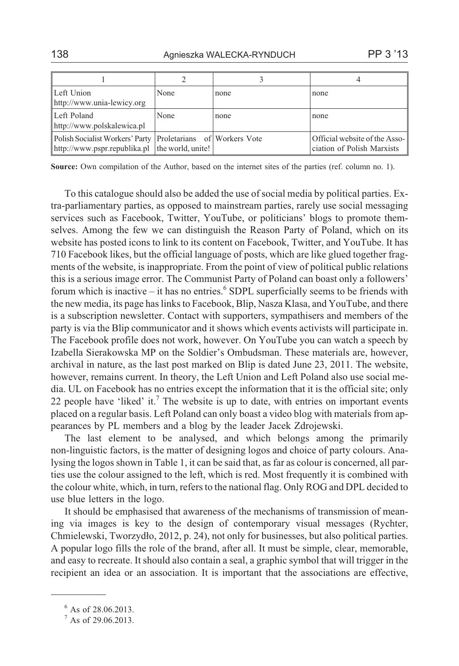|                                                                                                                      |      |      | 4                                                           |
|----------------------------------------------------------------------------------------------------------------------|------|------|-------------------------------------------------------------|
| Left Union<br>http://www.unia-lewicy.org                                                                             | None | none | none                                                        |
| Left Poland<br>http://www.polskalewica.pl                                                                            | None | none | none                                                        |
| Polish Socialist Workers' Party   Proletarians of   Workers Vote<br>http://www.pspr.republika.pl   the world, unite! |      |      | Official website of the Asso-<br>ciation of Polish Marxists |

**Source:** Own compilation of the Author, based on the internet sites of the parties (ref. column no. 1).

To this catalogue should also be added the use of social media by political parties. Extra-parliamentary parties, as opposed to mainstream parties, rarely use social messaging services such as Facebook, Twitter, YouTube, or politicians' blogs to promote themselves. Among the few we can distinguish the Reason Party of Poland, which on its website has posted icons to link to its content on Facebook, Twitter, and YouTube. It has 710 Facebook likes, but the official language of posts, which are like glued together fragments of the website, is inappropriate. From the point of view of political public relations this is a serious image error. The Communist Party of Poland can boast only a followers' forum which is inactive – it has no entries.<sup>6</sup> SDPL superficially seems to be friends with the new media, its page has links to Facebook, Blip, Nasza Klasa, and YouTube, and there is a subscription newsletter. Contact with supporters, sympathisers and members of the party is via the Blip communicator and it shows which events activists will participate in. The Facebook profile does not work, however. On YouTube you can watch a speech by Izabella Sierakowska MP on the Soldier's Ombudsman. These materials are, however, archival in nature, as the last post marked on Blip is dated June 23, 2011. The website, however, remains current. In theory, the Left Union and Left Poland also use social media. UL on Facebook has no entries except the information that it is the official site; only 22 people have 'liked' it.<sup>7</sup> The website is up to date, with entries on important events placed on a regular basis. Left Poland can only boast a video blog with materials from appearances by PL members and a blog by the leader Jacek Zdrojewski.

The last element to be analysed, and which belongs among the primarily non-linguistic factors, is the matter of designing logos and choice of party colours. Analysing the logos shown in Table 1, it can be said that, as far as colour is concerned, all parties use the colour assigned to the left, which is red. Most frequently it is combined with the colour white, which, in turn, refers to the national flag. Only ROG and DPL decided to use blue letters in the logo.

It should be emphasised that awareness of the mechanisms of transmission of meaning via images is key to the design of contemporary visual messages (Rychter, Chmielewski, Tworzydło, 2012, p. 24), not only for businesses, but also political parties. A popular logo fills the role of the brand, after all. It must be simple, clear, memorable, and easy to recreate. It should also contain a seal, a graphic symbol that will trigger in the recipient an idea or an association. It is important that the associations are effective,

<sup>&</sup>lt;sup>6</sup> As of 28.06.2013.

 $7$  As of 29.06.2013.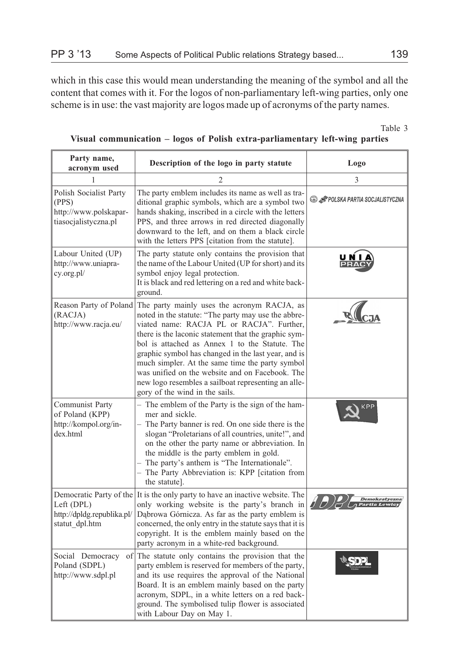which in this case this would mean understanding the meaning of the symbol and all the content that comes with it. For the logos of non-parliamentary left-wing parties, only one scheme is in use: the vast majority are logos made up of acronyms of the party names.

Table 3

| Party name,<br>acronym used                                                      | Description of the logo in party statute                                                                                                                                                                                                                                                                                                                                                                                                                                                                        | Logo                                  |
|----------------------------------------------------------------------------------|-----------------------------------------------------------------------------------------------------------------------------------------------------------------------------------------------------------------------------------------------------------------------------------------------------------------------------------------------------------------------------------------------------------------------------------------------------------------------------------------------------------------|---------------------------------------|
| 1                                                                                | 2                                                                                                                                                                                                                                                                                                                                                                                                                                                                                                               | 3                                     |
| Polish Socialist Party<br>(PPS)<br>http://www.polskapar-<br>tiasocjalistyczna.pl | The party emblem includes its name as well as tra-<br>ditional graphic symbols, which are a symbol two<br>hands shaking, inscribed in a circle with the letters<br>PPS, and three arrows in red directed diagonally<br>downward to the left, and on them a black circle<br>with the letters PPS [citation from the statute].                                                                                                                                                                                    | <b>B</b> FOLSKA PARTIA SOCJALISTYCZNA |
| Labour United (UP)<br>http://www.uniapra-<br>cy.org.pl/                          | The party statute only contains the provision that<br>the name of the Labour United (UP for short) and its<br>symbol enjoy legal protection.<br>It is black and red lettering on a red and white back-<br>ground.                                                                                                                                                                                                                                                                                               |                                       |
| Reason Party of Poland<br>(RACJA)<br>http://www.racja.eu/                        | The party mainly uses the acronym RACJA, as<br>noted in the statute: "The party may use the abbre-<br>viated name: RACJA PL or RACJA". Further,<br>there is the laconic statement that the graphic sym-<br>bol is attached as Annex 1 to the Statute. The<br>graphic symbol has changed in the last year, and is<br>much simpler. At the same time the party symbol<br>was unified on the website and on Facebook. The<br>new logo resembles a sailboat representing an alle-<br>gory of the wind in the sails. |                                       |
| Communist Party<br>of Poland (KPP)<br>http://kompol.org/in-<br>dex.html          | The emblem of the Party is the sign of the ham-<br>mer and sickle.<br>- The Party banner is red. On one side there is the<br>slogan "Proletarians of all countries, unite!", and<br>on the other the party name or abbreviation. In<br>the middle is the party emblem in gold.<br>- The party's anthem is "The Internationale".<br>- The Party Abbreviation is: KPP [citation from<br>the statute].                                                                                                             | KPP                                   |
| Left (DPL)<br>http://dpldg.republika.pl/<br>statut dpl.htm                       | Democratic Party of the It is the only party to have an inactive website. The<br>only working website is the party's branch in<br>Dąbrowa Górnicza. As far as the party emblem is<br>concerned, the only entry in the statute says that it is<br>copyright. It is the emblem mainly based on the<br>party acronym in a white-red background.                                                                                                                                                                    | Demokratyczna<br>Partia Lev           |
| Social Democracy<br>of<br>Poland (SDPL)<br>http://www.sdpl.pl                    | The statute only contains the provision that the<br>party emblem is reserved for members of the party,<br>and its use requires the approval of the National<br>Board. It is an emblem mainly based on the party<br>acronym, SDPL, in a white letters on a red back-<br>ground. The symbolised tulip flower is associated<br>with Labour Day on May 1.                                                                                                                                                           |                                       |

## **Visual communication – logos of Polish extra-parliamentary left-wing parties**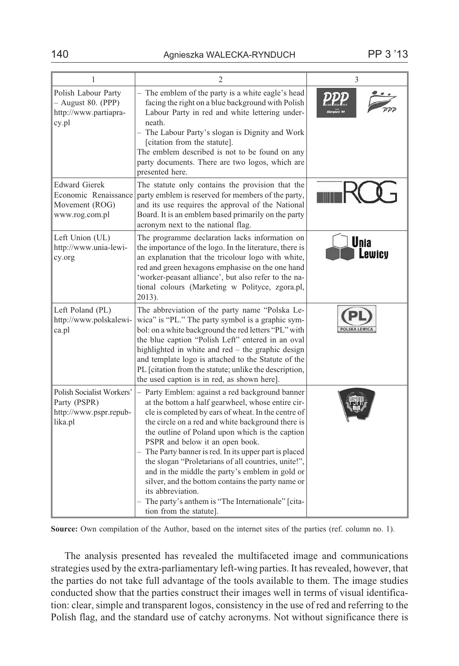| 1                                                                                | 2                                                                                                                                                                                                                                                                                                                                                                                                                                                                                                                                                                                                                                | 3                      |
|----------------------------------------------------------------------------------|----------------------------------------------------------------------------------------------------------------------------------------------------------------------------------------------------------------------------------------------------------------------------------------------------------------------------------------------------------------------------------------------------------------------------------------------------------------------------------------------------------------------------------------------------------------------------------------------------------------------------------|------------------------|
| Polish Labour Party<br>$-$ August 80. (PPP)<br>http://www.partiapra-<br>cy.pl    | The emblem of the party is a white eagle's head<br>facing the right on a blue background with Polish<br>Labour Party in red and white lettering under-<br>neath.<br>- The Labour Party's slogan is Dignity and Work<br>[citation from the statute].<br>The emblem described is not to be found on any<br>party documents. There are two logos, which are<br>presented here.                                                                                                                                                                                                                                                      |                        |
| <b>Edward Gierek</b><br>Economic Renaissance<br>Movement (ROG)<br>www.rog.com.pl | The statute only contains the provision that the<br>party emblem is reserved for members of the party,<br>and its use requires the approval of the National<br>Board. It is an emblem based primarily on the party<br>acronym next to the national flag.                                                                                                                                                                                                                                                                                                                                                                         |                        |
| Left Union (UL)<br>http://www.unia-lewi-<br>cy.org                               | The programme declaration lacks information on<br>the importance of the logo. In the literature, there is<br>an explanation that the tricolour logo with white,<br>red and green hexagons emphasise on the one hand<br>'worker-peasant alliance', but also refer to the na-<br>tional colours (Marketing w Polityce, zgora.pl,<br>2013).                                                                                                                                                                                                                                                                                         | <b>U</b> nia<br>ewicy. |
| Left Poland (PL)<br>http://www.polskalewi-<br>ca.pl                              | The abbreviation of the party name "Polska Le-<br>wica" is "PL". The party symbol is a graphic sym-<br>bol: on a white background the red letters "PL" with<br>the blue caption "Polish Left" entered in an oval<br>highlighted in white and red - the graphic design<br>and template logo is attached to the Statute of the<br>PL [citation from the statute; unlike the description,<br>the used caption is in red, as shown here].                                                                                                                                                                                            |                        |
| Polish Socialist Workers'<br>Party (PSPR)<br>http://www.pspr.repub-<br>lika.pl   | Party Emblem: against a red background banner<br>at the bottom a half gearwheel, whose entire cir-<br>cle is completed by ears of wheat. In the centre of<br>the circle on a red and white background there is<br>the outline of Poland upon which is the caption<br>PSPR and below it an open book.<br>The Party banner is red. In its upper part is placed<br>the slogan "Proletarians of all countries, unite!",<br>and in the middle the party's emblem in gold or<br>silver, and the bottom contains the party name or<br>its abbreviation.<br>The party's anthem is "The Internationale" [cita-<br>tion from the statute]. |                        |

**Source:** Own compilation of the Author, based on the internet sites of the parties (ref. column no. 1).

The analysis presented has revealed the multifaceted image and communications strategies used by the extra-parliamentary left-wing parties. It has revealed, however, that the parties do not take full advantage of the tools available to them. The image studies conducted show that the parties construct their images well in terms of visual identification: clear, simple and transparent logos, consistency in the use of red and referring to the Polish flag, and the standard use of catchy acronyms. Not without significance there is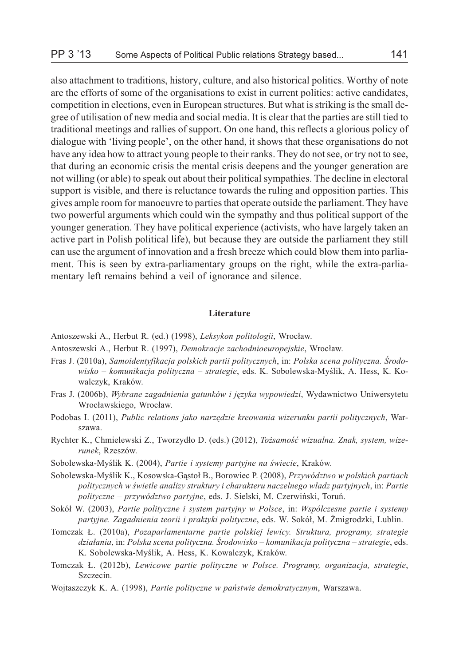also attachment to traditions, history, culture, and also historical politics. Worthy of note are the efforts of some of the organisations to exist in current politics: active candidates, competition in elections, even in European structures. But what is striking is the small degree of utilisation of new media and social media. It is clear that the parties are still tied to traditional meetings and rallies of support. On one hand, this reflects a glorious policy of dialogue with 'living people', on the other hand, it shows that these organisations do not have any idea how to attract young people to their ranks. They do not see, or try not to see, that during an economic crisis the mental crisis deepens and the younger generation are not willing (or able) to speak out about their political sympathies. The decline in electoral support is visible, and there is reluctance towards the ruling and opposition parties. This gives ample room for manoeuvre to parties that operate outside the parliament. They have two powerful arguments which could win the sympathy and thus political support of the younger generation. They have political experience (activists, who have largely taken an active part in Polish political life), but because they are outside the parliament they still can use the argument of innovation and a fresh breeze which could blow them into parliament. This is seen by extra-parliamentary groups on the right, while the extra-parliamentary left remains behind a veil of ignorance and silence.

#### **Literature**

Antoszewski A., Herbut R. (ed.) (1998), *Leksykon politologii*, Wrocław.

Antoszewski A., Herbut R. (1997), *Demokracje zachodnioeuropejskie*, Wroc³aw.

- Fras J. (2010a), *Samoidentyfikacja polskich partii politycznych*, in: *Polska scena polityczna. Œrodo*wisko – komunikacja polityczna – strategie, eds. K. Sobolewska-Myślik, A. Hess, K. Kowalczyk, Kraków.
- Fras J. (2006b), *Wybrane zagadnienia gatunków i jêzyka wypowiedzi*, Wydawnictwo Uniwersytetu Wrocławskiego, Wrocław.
- Podobas I. (2011), *Public relations jako narzêdzie kreowania wizerunku partii politycznych*, Warszawa.
- Rychter K., Chmielewski Z., Tworzydło D. (eds.) (2012), *Tożsamość wizualna. Znak, system, wizerunek*, Rzeszów.
- Sobolewska-Myślik K. (2004), *Partie i systemy partyjne na świecie*, Kraków.
- Sobolewska-Myślik K., Kosowska-Gastoł B., Borowiec P. (2008), *Przywództwo w polskich partiach politycznych w œwietle analizy struktury i charakteru naczelnego w³adz partyjnych*, in: *Partie polityczne – przywództwo partyjne*, eds. J. Sielski, M. Czerwiñski, Toruñ.
- Sokó³ W. (2003), *Partie polityczne i system partyjny w Polsce*, in: *Wspó³czesne partie i systemy* partyjne. Zagadnienia teorii i praktyki polityczne, eds. W. Sokół, M. Żmigrodzki, Lublin.
- Tomczak £. (2010a), *Pozaparlamentarne partie polskiej lewicy. Struktura, programy, strategie dzia³ania*, in: *Polska scena polityczna. Œrodowisko – komunikacja polityczna – strategie*, eds. K. Sobolewska-Myślik, A. Hess, K. Kowalczyk, Kraków.
- Tomczak £. (2012b), *Lewicowe partie polityczne w Polsce. Programy, organizacja, strategie*, Szczecin.
- Wojtaszczyk K. A. (1998), *Partie polityczne w pañstwie demokratycznym*, Warszawa.